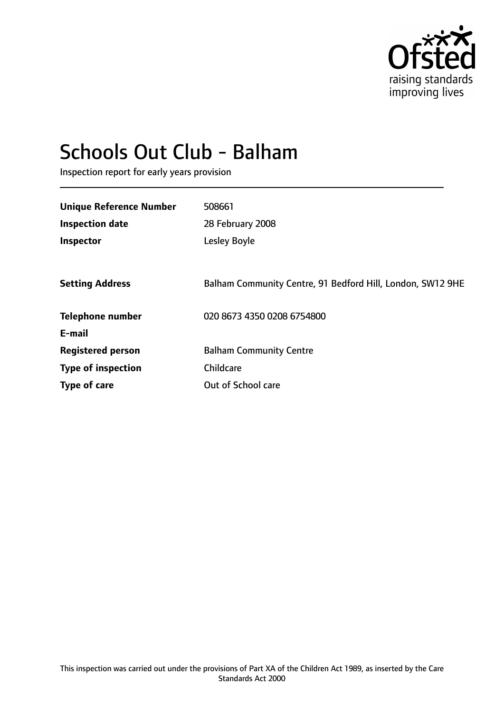

# Schools Out Club - Balham

Inspection report for early years provision

| <b>Unique Reference Number</b> | 508661                                                     |
|--------------------------------|------------------------------------------------------------|
| <b>Inspection date</b>         | 28 February 2008                                           |
| Inspector                      | Lesley Boyle                                               |
|                                |                                                            |
| <b>Setting Address</b>         | Balham Community Centre, 91 Bedford Hill, London, SW12 9HE |
| <b>Telephone number</b>        | 020 8673 4350 0208 6754800                                 |
| E-mail                         |                                                            |
| <b>Registered person</b>       | <b>Balham Community Centre</b>                             |
| <b>Type of inspection</b>      | Childcare                                                  |
| Type of care                   | Out of School care                                         |
|                                |                                                            |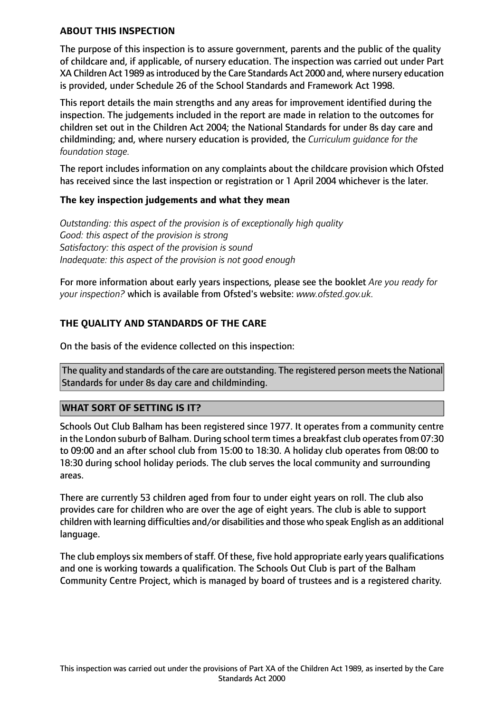## **ABOUT THIS INSPECTION**

The purpose of this inspection is to assure government, parents and the public of the quality of childcare and, if applicable, of nursery education. The inspection was carried out under Part XA Children Act 1989 as introduced by the Care Standards Act 2000 and, where nursery education is provided, under Schedule 26 of the School Standards and Framework Act 1998.

This report details the main strengths and any areas for improvement identified during the inspection. The judgements included in the report are made in relation to the outcomes for children set out in the Children Act 2004; the National Standards for under 8s day care and childminding; and, where nursery education is provided, the *Curriculum guidance for the foundation stage.*

The report includes information on any complaints about the childcare provision which Ofsted has received since the last inspection or registration or 1 April 2004 whichever is the later.

## **The key inspection judgements and what they mean**

*Outstanding: this aspect of the provision is of exceptionally high quality Good: this aspect of the provision is strong Satisfactory: this aspect of the provision is sound Inadequate: this aspect of the provision is not good enough*

For more information about early years inspections, please see the booklet *Are you ready for your inspection?* which is available from Ofsted's website: *www.ofsted.gov.uk.*

# **THE QUALITY AND STANDARDS OF THE CARE**

On the basis of the evidence collected on this inspection:

The quality and standards of the care are outstanding. The registered person meets the National Standards for under 8s day care and childminding.

#### **WHAT SORT OF SETTING IS IT?**

Schools Out Club Balham has been registered since 1977. It operates from a community centre in the London suburb of Balham. During school term times a breakfast club operates from 07:30 to 09:00 and an after school club from 15:00 to 18:30. A holiday club operates from 08:00 to 18:30 during school holiday periods. The club serves the local community and surrounding areas.

There are currently 53 children aged from four to under eight years on roll. The club also provides care for children who are over the age of eight years. The club is able to support children with learning difficulties and/or disabilities and those who speak English as an additional language.

The club employs six members of staff. Of these, five hold appropriate early years qualifications and one is working towards a qualification. The Schools Out Club is part of the Balham Community Centre Project, which is managed by board of trustees and is a registered charity.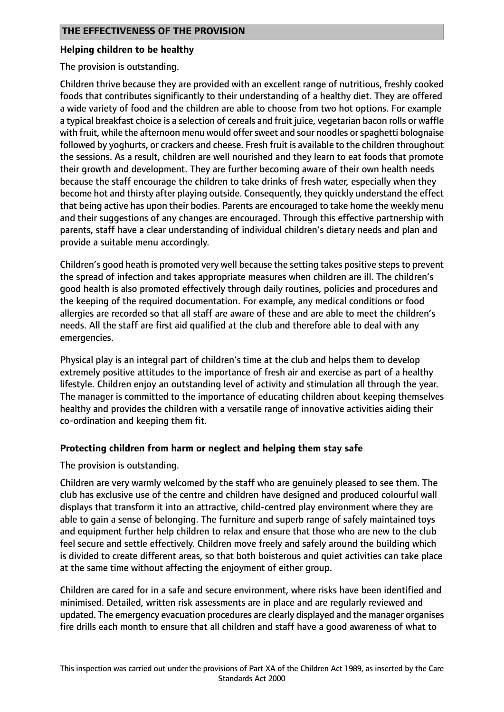#### **Helping children to be healthy**

The provision is outstanding.

Children thrive because they are provided with an excellent range of nutritious, freshly cooked foods that contributes significantly to their understanding of a healthy diet. They are offered a wide variety of food and the children are able to choose from two hot options. For example a typical breakfast choice is a selection of cereals and fruit juice, vegetarian bacon rolls or waffle with fruit, while the afternoon menu would offer sweet and sour noodles or spaghetti bolognaise followed by yoghurts, or crackers and cheese. Fresh fruit is available to the children throughout the sessions. As a result, children are well nourished and they learn to eat foods that promote their growth and development. They are further becoming aware of their own health needs because the staff encourage the children to take drinks of fresh water, especially when they become hot and thirsty after playing outside. Consequently, they quickly understand the effect that being active has upon their bodies. Parents are encouraged to take home the weekly menu and their suggestions of any changes are encouraged. Through this effective partnership with parents, staff have a clear understanding of individual children's dietary needs and plan and provide a suitable menu accordingly.

Children's good heath is promoted very well because the setting takes positive steps to prevent the spread of infection and takes appropriate measures when children are ill. The children's good health is also promoted effectively through daily routines, policies and procedures and the keeping of the required documentation. For example, any medical conditions or food allergies are recorded so that all staff are aware of these and are able to meet the children's needs. All the staff are first aid qualified at the club and therefore able to deal with any emergencies.

Physical play is an integral part of children's time at the club and helps them to develop extremely positive attitudes to the importance of fresh air and exercise as part of a healthy lifestyle. Children enjoy an outstanding level of activity and stimulation all through the year. The manager is committed to the importance of educating children about keeping themselves healthy and provides the children with a versatile range of innovative activities aiding their co-ordination and keeping them fit.

#### **Protecting children from harm or neglect and helping them stay safe**

The provision is outstanding.

Children are very warmly welcomed by the staff who are genuinely pleased to see them. The club has exclusive use of the centre and children have designed and produced colourful wall displays that transform it into an attractive, child-centred play environment where they are able to gain a sense of belonging. The furniture and superb range of safely maintained toys and equipment further help children to relax and ensure that those who are new to the club feel secure and settle effectively. Children move freely and safely around the building which is divided to create different areas, so that both boisterous and quiet activities can take place at the same time without affecting the enjoyment of either group.

Children are cared for in a safe and secure environment, where risks have been identified and minimised. Detailed, written risk assessments are in place and are regularly reviewed and updated. The emergency evacuation procedures are clearly displayed and the manager organises fire drills each month to ensure that all children and staff have a good awareness of what to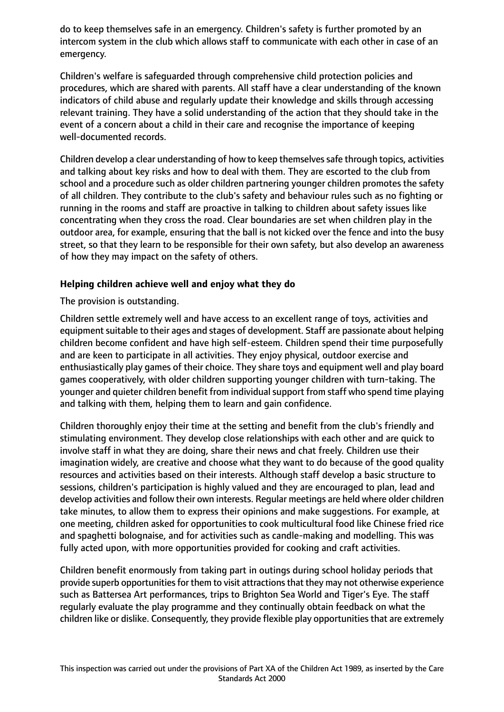do to keep themselves safe in an emergency. Children's safety is further promoted by an intercom system in the club which allows staff to communicate with each other in case of an emergency.

Children's welfare is safeguarded through comprehensive child protection policies and procedures, which are shared with parents. All staff have a clear understanding of the known indicators of child abuse and regularly update their knowledge and skills through accessing relevant training. They have a solid understanding of the action that they should take in the event of a concern about a child in their care and recognise the importance of keeping well-documented records.

Children develop a clear understanding of how to keep themselvessafe through topics, activities and talking about key risks and how to deal with them. They are escorted to the club from school and a procedure such as older children partnering younger children promotes the safety of all children. They contribute to the club's safety and behaviour rules such as no fighting or running in the rooms and staff are proactive in talking to children about safety issues like concentrating when they cross the road. Clear boundaries are set when children play in the outdoor area, for example, ensuring that the ball is not kicked over the fence and into the busy street, so that they learn to be responsible for their own safety, but also develop an awareness of how they may impact on the safety of others.

## **Helping children achieve well and enjoy what they do**

The provision is outstanding.

Children settle extremely well and have access to an excellent range of toys, activities and equipment suitable to their ages and stages of development. Staff are passionate about helping children become confident and have high self-esteem. Children spend their time purposefully and are keen to participate in all activities. They enjoy physical, outdoor exercise and enthusiastically play games of their choice. They share toys and equipment well and play board games cooperatively, with older children supporting younger children with turn-taking. The younger and quieter children benefit from individualsupport from staff who spend time playing and talking with them, helping them to learn and gain confidence.

Children thoroughly enjoy their time at the setting and benefit from the club's friendly and stimulating environment. They develop close relationships with each other and are quick to involve staff in what they are doing, share their news and chat freely. Children use their imagination widely, are creative and choose what they want to do because of the good quality resources and activities based on their interests. Although staff develop a basic structure to sessions, children's participation is highly valued and they are encouraged to plan, lead and develop activities and follow their own interests. Regular meetings are held where older children take minutes, to allow them to express their opinions and make suggestions. For example, at one meeting, children asked for opportunities to cook multicultural food like Chinese fried rice and spaghetti bolognaise, and for activities such as candle-making and modelling. This was fully acted upon, with more opportunities provided for cooking and craft activities.

Children benefit enormously from taking part in outings during school holiday periods that provide superb opportunities for them to visit attractions that they may not otherwise experience such as Battersea Art performances, trips to Brighton Sea World and Tiger's Eye. The staff regularly evaluate the play programme and they continually obtain feedback on what the children like or dislike. Consequently, they provide flexible play opportunities that are extremely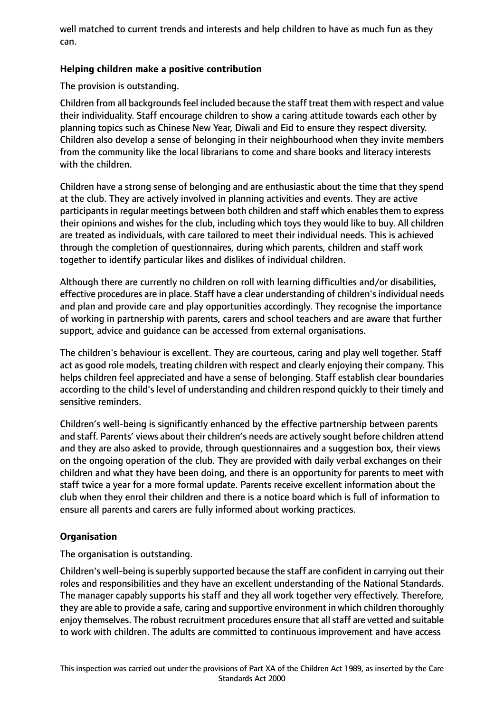well matched to current trends and interests and help children to have as much fun as they can.

## **Helping children make a positive contribution**

The provision is outstanding.

Children from all backgrounds feel included because the staff treat them with respect and value their individuality. Staff encourage children to show a caring attitude towards each other by planning topics such as Chinese New Year, Diwali and Eid to ensure they respect diversity. Children also develop a sense of belonging in their neighbourhood when they invite members from the community like the local librarians to come and share books and literacy interests with the children.

Children have a strong sense of belonging and are enthusiastic about the time that they spend at the club. They are actively involved in planning activities and events. They are active participants in regular meetings between both children and staff which enables them to express their opinions and wishes for the club, including which toys they would like to buy. All children are treated as individuals, with care tailored to meet their individual needs. This is achieved through the completion of questionnaires, during which parents, children and staff work together to identify particular likes and dislikes of individual children.

Although there are currently no children on roll with learning difficulties and/or disabilities, effective procedures are in place. Staff have a clear understanding of children's individual needs and plan and provide care and play opportunities accordingly. They recognise the importance of working in partnership with parents, carers and school teachers and are aware that further support, advice and guidance can be accessed from external organisations.

The children's behaviour is excellent. They are courteous, caring and play well together. Staff act as good role models, treating children with respect and clearly enjoying their company. This helps children feel appreciated and have a sense of belonging. Staff establish clear boundaries according to the child's level of understanding and children respond quickly to their timely and sensitive reminders.

Children's well-being is significantly enhanced by the effective partnership between parents and staff. Parents' views about their children's needs are actively sought before children attend and they are also asked to provide, through questionnaires and a suggestion box, their views on the ongoing operation of the club. They are provided with daily verbal exchanges on their children and what they have been doing, and there is an opportunity for parents to meet with staff twice a year for a more formal update. Parents receive excellent information about the club when they enrol their children and there is a notice board which is full of information to ensure all parents and carers are fully informed about working practices.

# **Organisation**

The organisation is outstanding.

Children's well-being issuperbly supported because the staff are confident in carrying out their roles and responsibilities and they have an excellent understanding of the National Standards. The manager capably supports his staff and they all work together very effectively. Therefore, they are able to provide a safe, caring and supportive environment in which children thoroughly enjoy themselves. The robust recruitment procedures ensure that all staff are vetted and suitable to work with children. The adults are committed to continuous improvement and have access